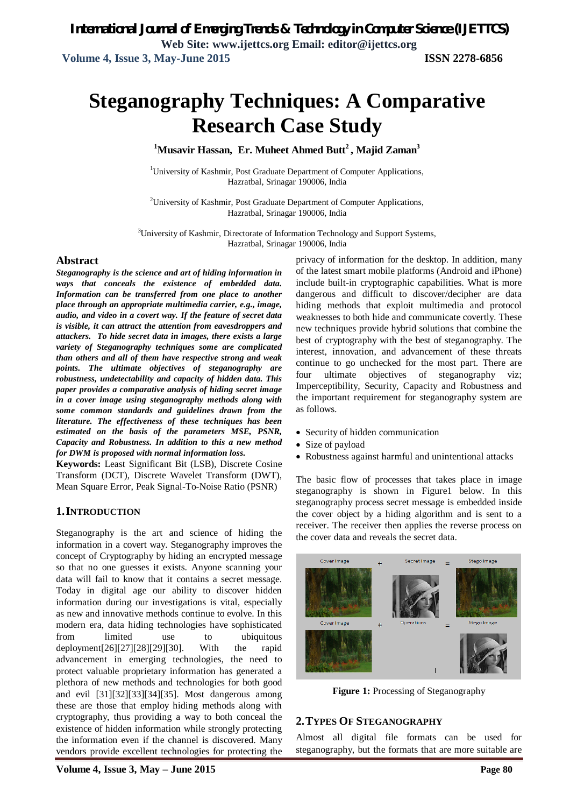# **Steganography Techniques: A Comparative Research Case Study**

**<sup>1</sup>Musavir Hassan, Er. Muheet Ahmed Butt<sup>2</sup> , Majid Zaman<sup>3</sup>**

<sup>1</sup>University of Kashmir, Post Graduate Department of Computer Applications, Hazratbal, Srinagar 190006, India

<sup>2</sup>University of Kashmir, Post Graduate Department of Computer Applications, Hazratbal, Srinagar 190006, India

<sup>3</sup>University of Kashmir, Directorate of Information Technology and Support Systems, Hazratbal, Srinagar 190006, India

#### **Abstract**

*Steganography is the science and art of hiding information in ways that conceals the existence of embedded data. Information can be transferred from one place to another place through an appropriate multimedia carrier, e.g., image, audio, and video in a covert way. If the feature of secret data is visible, it can attract the attention from eavesdroppers and attackers. To hide secret data in images, there exists a large variety of Steganography techniques some are complicated than others and all of them have respective strong and weak points. The ultimate objectives of steganography are robustness, undetectability and capacity of hidden data. This paper provides a comparative analysis of hiding secret image in a cover image using steganography methods along with some common standards and guidelines drawn from the literature. The effectiveness of these techniques has been estimated on the basis of the parameters MSE, PSNR, Capacity and Robustness. In addition to this a new method for DWM is proposed with normal information loss.*

**Keywords:** Least Significant Bit (LSB), Discrete Cosine Transform (DCT), Discrete Wavelet Transform (DWT), Mean Square Error, Peak Signal-To-Noise Ratio (PSNR)

#### **1.INTRODUCTION**

Steganography is the art and science of hiding the information in a covert way. Steganography improves the concept of Cryptography by hiding an encrypted message so that no one guesses it exists. Anyone scanning your data will fail to know that it contains a secret message. Today in digital age our ability to discover hidden information during our investigations is vital, especially as new and innovative methods continue to evolve. In this modern era, data hiding technologies have sophisticated from limited use to ubiquitous deployment[26][27][28][29][30]. With the rapid advancement in emerging technologies, the need to protect valuable proprietary information has generated a plethora of new methods and technologies for both good and evil [31][32][33][34][35]. Most dangerous among these are those that employ hiding methods along with cryptography, thus providing a way to both conceal the existence of hidden information while strongly protecting the information even if the channel is discovered. Many vendors provide excellent technologies for protecting the privacy of information for the desktop. In addition, many of the latest smart mobile platforms (Android and iPhone) include built-in cryptographic capabilities. What is more dangerous and difficult to discover/decipher are data hiding methods that exploit multimedia and protocol weaknesses to both hide and communicate covertly. These new techniques provide hybrid solutions that combine the best of cryptography with the best of steganography. The interest, innovation, and advancement of these threats continue to go unchecked for the most part. There are four ultimate objectives of steganography viz; Imperceptibility, Security, Capacity and Robustness and the important requirement for steganography system are as follows.

- Security of hidden communication
- Size of payload
- Robustness against harmful and unintentional attacks

The basic flow of processes that takes place in image steganography is shown in Figure1 below. In this steganography process secret message is embedded inside the cover object by a hiding algorithm and is sent to a receiver. The receiver then applies the reverse process on the cover data and reveals the secret data.



**Figure 1:** Processing of Steganography

#### **2.TYPES OF STEGANOGRAPHY**

Almost all digital file formats can be used for steganography, but the formats that are more suitable are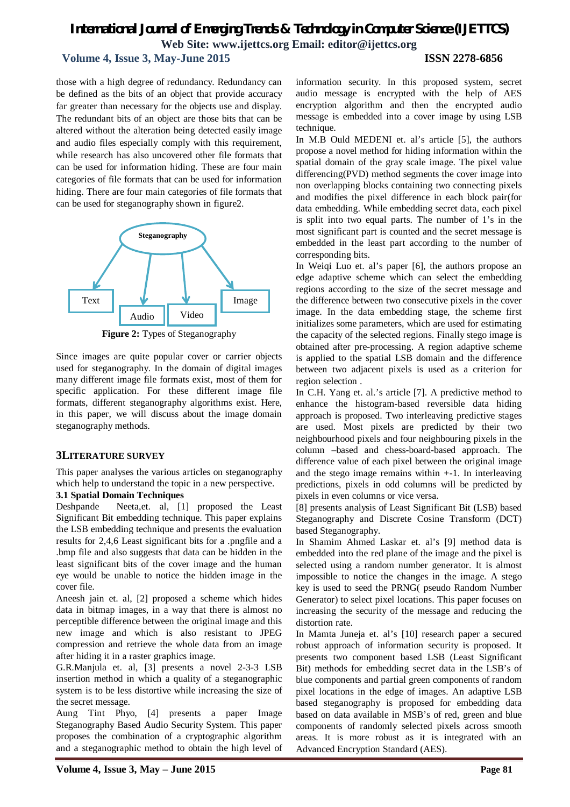#### **Volume 4, Issue 3, May-June 2015 ISSN 2278-6856**

those with a high degree of redundancy. Redundancy can be defined as the bits of an object that provide accuracy far greater than necessary for the objects use and display. The redundant bits of an object are those bits that can be altered without the alteration being detected easily image and audio files especially comply with this requirement, while research has also uncovered other file formats that can be used for information hiding. These are four main categories of file formats that can be used for information hiding. There are four main categories of file formats that can be used for steganography shown in figure2.



**Figure 2:** Types of Steganography

Since images are quite popular cover or carrier objects used for steganography. In the domain of digital images many different image file formats exist, most of them for specific application. For these different image file formats, different steganography algorithms exist. Here, in this paper, we will discuss about the image domain steganography methods.

#### **3LITERATURE SURVEY**

This paper analyses the various articles on steganography which help to understand the topic in a new perspective.

#### **3.1 Spatial Domain Techniques**

Deshpande Neeta,et. al, [1] proposed the Least Significant Bit embedding technique. This paper explains the LSB embedding technique and presents the evaluation results for 2,4,6 Least significant bits for a .pngfile and a .bmp file and also suggests that data can be hidden in the least significant bits of the cover image and the human eye would be unable to notice the hidden image in the cover file.

Aneesh jain et. al, [2] proposed a scheme which hides data in bitmap images, in a way that there is almost no perceptible difference between the original image and this new image and which is also resistant to JPEG compression and retrieve the whole data from an image after hiding it in a raster graphics image.

G.R.Manjula et. al, [3] presents a novel 2-3-3 LSB insertion method in which a quality of a steganographic system is to be less distortive while increasing the size of the secret message.

Aung Tint Phyo, [4] presents a paper Image Steganography Based Audio Security System. This paper proposes the combination of a cryptographic algorithm and a steganographic method to obtain the high level of information security. In this proposed system, secret audio message is encrypted with the help of AES encryption algorithm and then the encrypted audio message is embedded into a cover image by using LSB technique.

In M.B Ould MEDENI et. al's article [5], the authors propose a novel method for hiding information within the spatial domain of the gray scale image. The pixel value differencing(PVD) method segments the cover image into non overlapping blocks containing two connecting pixels and modifies the pixel difference in each block pair(for data embedding. While embedding secret data, each pixel is split into two equal parts. The number of 1's in the most significant part is counted and the secret message is embedded in the least part according to the number of corresponding bits.

In Weiqi Luo et. al's paper [6], the authors propose an edge adaptive scheme which can select the embedding regions according to the size of the secret message and the difference between two consecutive pixels in the cover image. In the data embedding stage, the scheme first initializes some parameters, which are used for estimating the capacity of the selected regions. Finally stego image is obtained after pre-processing. A region adaptive scheme is applied to the spatial LSB domain and the difference between two adjacent pixels is used as a criterion for region selection .

In C.H. Yang et. al.'s article [7]. A predictive method to enhance the histogram-based reversible data hiding approach is proposed. Two interleaving predictive stages are used. Most pixels are predicted by their two neighbourhood pixels and four neighbouring pixels in the column –based and chess-board-based approach. The difference value of each pixel between the original image and the stego image remains within  $+1$ . In interleaving predictions, pixels in odd columns will be predicted by pixels in even columns or vice versa.

[8] presents analysis of Least Significant Bit (LSB) based Steganography and Discrete Cosine Transform (DCT) based Steganography.

In Shamim Ahmed Laskar et. al's [9] method data is embedded into the red plane of the image and the pixel is selected using a random number generator. It is almost impossible to notice the changes in the image. A stego key is used to seed the PRNG( pseudo Random Number Generator) to select pixel locations. This paper focuses on increasing the security of the message and reducing the distortion rate.

In Mamta Juneja et. al's [10] research paper a secured robust approach of information security is proposed. It presents two component based LSB (Least Significant Bit) methods for embedding secret data in the LSB's of blue components and partial green components of random pixel locations in the edge of images. An adaptive LSB based steganography is proposed for embedding data based on data available in MSB's of red, green and blue components of randomly selected pixels across smooth areas. It is more robust as it is integrated with an Advanced Encryption Standard (AES).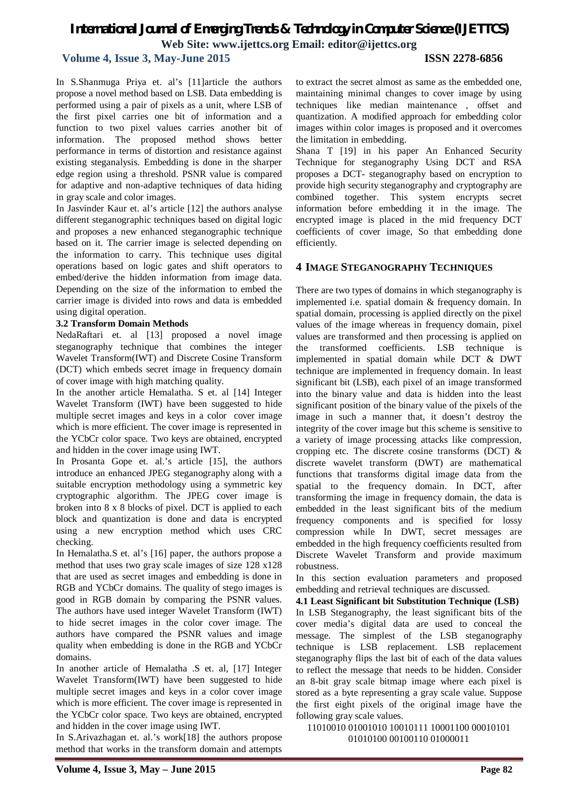#### **Volume 4, Issue 3, May-June 2015 ISSN 2278-6856**

In S.Shanmuga Priya et. al's [11]article the authors propose a novel method based on LSB. Data embedding is performed using a pair of pixels as a unit, where LSB of the first pixel carries one bit of information and a function to two pixel values carries another bit of information. The proposed method shows better performance in terms of distortion and resistance against existing steganalysis. Embedding is done in the sharper edge region using a threshold. PSNR value is compared for adaptive and non-adaptive techniques of data hiding in gray scale and color images.

In Jasvinder Kaur et. al's article [12] the authors analyse different steganographic techniques based on digital logic and proposes a new enhanced steganographic technique based on it. The carrier image is selected depending on the information to carry. This technique uses digital operations based on logic gates and shift operators to embed/derive the hidden information from image data. Depending on the size of the information to embed the carrier image is divided into rows and data is embedded using digital operation.

#### **3.2 Transform Domain Methods**

NedaRaftari et. al [13] proposed a novel image steganography technique that combines the integer Wavelet Transform(IWT) and Discrete Cosine Transform (DCT) which embeds secret image in frequency domain of cover image with high matching quality.

In the another article Hemalatha. S et. al [14] Integer Wavelet Transform (IWT) have been suggested to hide multiple secret images and keys in a color cover image which is more efficient. The cover image is represented in the YCbCr color space. Two keys are obtained, encrypted and hidden in the cover image using IWT.

In Prosanta Gope et. al.'s article [15], the authors introduce an enhanced JPEG steganography along with a suitable encryption methodology using a symmetric key cryptographic algorithm. The JPEG cover image is broken into 8 x 8 blocks of pixel. DCT is applied to each block and quantization is done and data is encrypted using a new encryption method which uses CRC checking.

In Hemalatha.S et. al's [16] paper, the authors propose a method that uses two gray scale images of size 128 x128 that are used as secret images and embedding is done in RGB and YCbCr domains. The quality of stego images is good in RGB domain by comparing the PSNR values. The authors have used integer Wavelet Transform (IWT) to hide secret images in the color cover image. The authors have compared the PSNR values and image quality when embedding is done in the RGB and YCbCr domains.

In another article of Hemalatha .S et. al, [17] Integer Wavelet Transform(IWT) have been suggested to hide multiple secret images and keys in a color cover image which is more efficient. The cover image is represented in the YCbCr color space. Two keys are obtained, encrypted and hidden in the cover image using IWT.

In S.Arivazhagan et. al.'s work[18] the authors propose method that works in the transform domain and attempts

to extract the secret almost as same as the embedded one, maintaining minimal changes to cover image by using techniques like median maintenance , offset and quantization. A modified approach for embedding color images within color images is proposed and it overcomes the limitation in embedding.

Shana T [19] in his paper An Enhanced Security Technique for steganography Using DCT and RSA proposes a DCT- steganography based on encryption to provide high security steganography and cryptography are combined together. This system encrypts secret information before embedding it in the image. The encrypted image is placed in the mid frequency DCT coefficients of cover image, So that embedding done efficiently.

#### **4 IMAGE STEGANOGRAPHY TECHNIQUES**

There are two types of domains in which steganography is implemented i.e. spatial domain & frequency domain. In spatial domain, processing is applied directly on the pixel values of the image whereas in frequency domain, pixel values are transformed and then processing is applied on the transformed coefficients. LSB technique is implemented in spatial domain while DCT & DWT technique are implemented in frequency domain. In least significant bit (LSB), each pixel of an image transformed into the binary value and data is hidden into the least significant position of the binary value of the pixels of the image in such a manner that, it doesn't destroy the integrity of the cover image but this scheme is sensitive to a variety of image processing attacks like compression, cropping etc. The discrete cosine transforms (DCT) & discrete wavelet transform (DWT) are mathematical functions that transforms digital image data from the spatial to the frequency domain. In DCT, after transforming the image in frequency domain, the data is embedded in the least significant bits of the medium frequency components and is specified for lossy compression while In DWT, secret messages are embedded in the high frequency coefficients resulted from Discrete Wavelet Transform and provide maximum robustness.

In this section evaluation parameters and proposed embedding and retrieval techniques are discussed.

**4.1 Least Significant bit Substitution Technique (LSB)** In LSB Steganography, the least significant bits of the cover media's digital data are used to conceal the message. The simplest of the LSB steganography technique is LSB replacement. LSB replacement steganography flips the last bit of each of the data values to reflect the message that needs to be hidden. Consider an 8-bit gray scale bitmap image where each pixel is stored as a byte representing a gray scale value. Suppose the first eight pixels of the original image have the following gray scale values.

11010010 01001010 10010111 10001100 00010101 01010100 00100110 01000011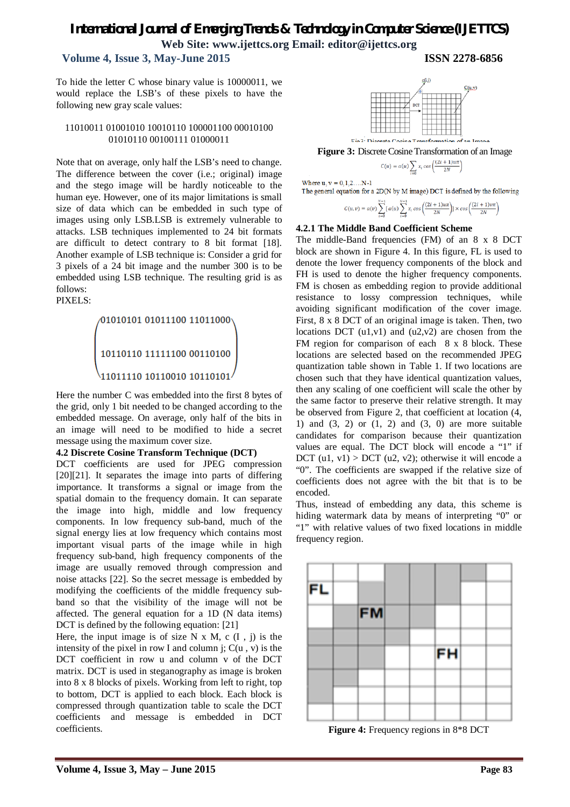## **Volume 4, Issue 3, May-June 2015 ISSN 2278-6856**

To hide the letter C whose binary value is 10000011, we would replace the LSB's of these pixels to have the following new gray scale values:

#### 11010011 01001010 10010110 100001100 00010100 01010110 00100111 01000011

Note that on average, only half the LSB's need to change. The difference between the cover (i.e.; original) image and the stego image will be hardly noticeable to the human eye. However, one of its major limitations is small size of data which can be embedded in such type of images using only LSB.LSB is extremely vulnerable to attacks. LSB techniques implemented to 24 bit formats are difficult to detect contrary to 8 bit format [18]. Another example of LSB technique is: Consider a grid for 3 pixels of a 24 bit image and the number 300 is to be embedded using LSB technique. The resulting grid is as follows:





Here the number C was embedded into the first 8 bytes of the grid, only 1 bit needed to be changed according to the embedded message. On average, only half of the bits in an image will need to be modified to hide a secret message using the maximum cover size.

#### **4.2 Discrete Cosine Transform Technique (DCT)**

DCT coefficients are used for JPEG compression [20][21]. It separates the image into parts of differing importance. It transforms a signal or image from the spatial domain to the frequency domain. It can separate the image into high, middle and low frequency components. In low frequency sub-band, much of the signal energy lies at low frequency which contains most important visual parts of the image while in high frequency sub-band, high frequency components of the image are usually removed through compression and noise attacks [22]. So the secret message is embedded by modifying the coefficients of the middle frequency subband so that the visibility of the image will not be affected. The general equation for a 1D (N data items) DCT is defined by the following equation: [21]

Here, the input image is of size  $N \times M$ , c  $(I, j)$  is the intensity of the pixel in row I and column i:  $C(u, v)$  is the DCT coefficient in row u and column v of the DCT matrix. DCT is used in steganography as image is broken into 8 x 8 blocks of pixels. Working from left to right, top to bottom, DCT is applied to each block. Each block is compressed through quantization table to scale the DCT coefficients and message is embedded in DCT coefficients.



**Figure 3:** Discrete Cosine Transformation of an Image

$$
u) = a(u) \sum_{i=0} x_i \cos\left(\frac{(2i+1)u\pi}{2N}\right)
$$

Where  $u, v = 0, 1, 2, \ldots N-1$ 

The general equation for a 2D(N by M image) DCT is defined by the following  $N-1$  $N-1$ 

$$
C(u, v) = a(v) \sum_{i=0} [a(u) \sum_{i=0} x_i \cos \left(\frac{(2i+1)u\pi}{2N}\right)] \times \cos \left(\frac{(2i+1)v\pi}{2N}\right)
$$

#### **4.2.1 The Middle Band Coefficient Scheme**

 $c<sub>0</sub>$ 

The middle-Band frequencies (FM) of an 8 x 8 DCT block are shown in Figure 4. In this figure, FL is used to denote the lower frequency components of the block and FH is used to denote the higher frequency components. FM is chosen as embedding region to provide additional resistance to lossy compression techniques, while avoiding significant modification of the cover image. First, 8 x 8 DCT of an original image is taken. Then, two locations DCT  $(u1,v1)$  and  $(u2,v2)$  are chosen from the FM region for comparison of each 8 x 8 block. These locations are selected based on the recommended JPEG quantization table shown in Table 1. If two locations are chosen such that they have identical quantization values, then any scaling of one coefficient will scale the other by the same factor to preserve their relative strength. It may be observed from Figure 2, that coefficient at location (4, 1) and  $(3, 2)$  or  $(1, 2)$  and  $(3, 0)$  are more suitable candidates for comparison because their quantization values are equal. The DCT block will encode a "1" if DCT  $(u1, v1)$  > DCT  $(u2, v2)$ ; otherwise it will encode a "0". The coefficients are swapped if the relative size of coefficients does not agree with the bit that is to be encoded.

Thus, instead of embedding any data, this scheme is hiding watermark data by means of interpreting "0" or "1" with relative values of two fixed locations in middle frequency region.



**Figure 4:** Frequency regions in 8\*8 DCT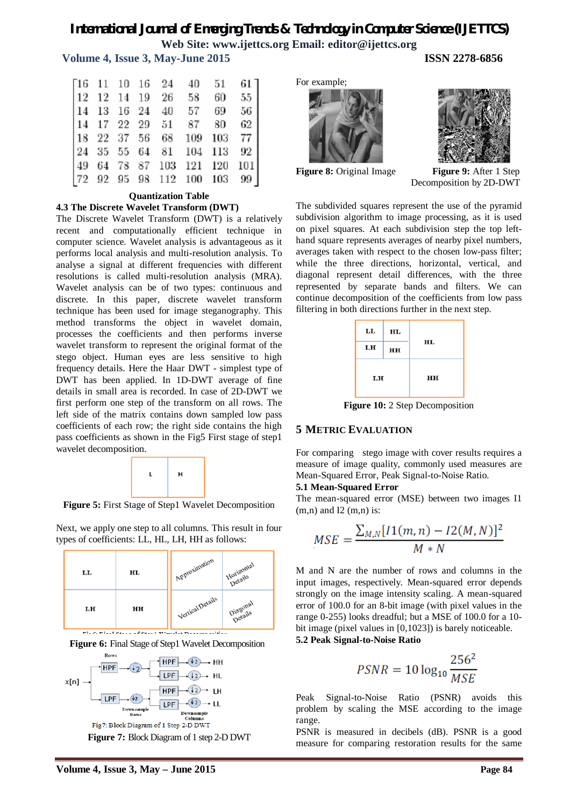#### **Volume 4, Issue 3, May-June 2015 ISSN 2278-6856**

|  |  | $\begin{bmatrix} 16 & 11 & 10 & 16 & 24 & 40 & 51 & 61 \\ 12 & 12 & 14 & 19 & 26 & 58 & 60 & 55 \\ 14 & 13 & 16 & 24 & 40 & 57 & 69 & 56 \\ 14 & 17 & 22 & 29 & 51 & 87 & 80 & 62 \\ 18 & 22 & 37 & 56 & 68 & 109 & 103 & 77 \\ 24 & 35 & 55 & 64 & 81 & 104 & 113 & 92 \\ 49 & 64 & 78 & 87 & 1$ |  |
|--|--|---------------------------------------------------------------------------------------------------------------------------------------------------------------------------------------------------------------------------------------------------------------------------------------------------|--|
|  |  |                                                                                                                                                                                                                                                                                                   |  |
|  |  |                                                                                                                                                                                                                                                                                                   |  |
|  |  |                                                                                                                                                                                                                                                                                                   |  |
|  |  |                                                                                                                                                                                                                                                                                                   |  |
|  |  |                                                                                                                                                                                                                                                                                                   |  |
|  |  |                                                                                                                                                                                                                                                                                                   |  |
|  |  |                                                                                                                                                                                                                                                                                                   |  |

#### **Quantization Table**

#### **4.3 The Discrete Wavelet Transform (DWT)**

The Discrete Wavelet Transform (DWT) is a relatively recent and computationally efficient technique in computer science. Wavelet analysis is advantageous as it performs local analysis and multi-resolution analysis. To analyse a signal at different frequencies with different resolutions is called multi-resolution analysis (MRA). Wavelet analysis can be of two types: continuous and discrete. In this paper, discrete wavelet transform technique has been used for image steganography. This method transforms the object in wavelet domain, processes the coefficients and then performs inverse wavelet transform to represent the original format of the stego object. Human eyes are less sensitive to high frequency details. Here the Haar DWT - simplest type of DWT has been applied. In 1D-DWT average of fine details in small area is recorded. In case of 2D-DWT we first perform one step of the transform on all rows. The left side of the matrix contains down sampled low pass coefficients of each row; the right side contains the high pass coefficients as shown in the Fig5 First stage of step1 wavelet decomposition.



**Figure 5:** First Stage of Step1 Wavelet Decomposition

Next, we apply one step to all columns. This result in four types of coefficients: LL, HL, LH, HH as follows:









For example;





**Figure 8:** Original Image **Figure 9:** After 1 Step Decomposition by 2D-DWT

The subdivided squares represent the use of the pyramid subdivision algorithm to image processing, as it is used on pixel squares. At each subdivision step the top lefthand square represents averages of nearby pixel numbers, averages taken with respect to the chosen low-pass filter; while the three directions, horizontal, vertical, and diagonal represent detail differences, with the three represented by separate bands and filters. We can continue decomposition of the coefficients from low pass filtering in both directions further in the next step.



**Figure 10:** 2 Step Decomposition

#### **5 METRIC EVALUATION**

For comparing stego image with cover results requires a measure of image quality, commonly used measures are Mean-Squared Error, Peak Signal-to-Noise Ratio.

#### **5.1 Mean-Squared Error**

The mean-squared error (MSE) between two images I1  $(m,n)$  and I2  $(m,n)$  is:

$$
MSE = \frac{\sum_{M,N} [I1(m,n) - I2(M,N)]^2}{M*N}
$$

M and N are the number of rows and columns in the input images, respectively. Mean-squared error depends strongly on the image intensity scaling. A mean-squared error of 100.0 for an 8-bit image (with pixel values in the range 0-255) looks dreadful; but a MSE of 100.0 for a 10 bit image (pixel values in [0,1023]) is barely noticeable. **5.2 Peak Signal-to-Noise Ratio**

$$
PSNR = 10 \log_{10} \frac{256^2}{MSE}
$$

Peak Signal-to-Noise Ratio (PSNR) avoids this problem by scaling the MSE according to the image range.

PSNR is measured in decibels (dB). PSNR is a good measure for comparing restoration results for the same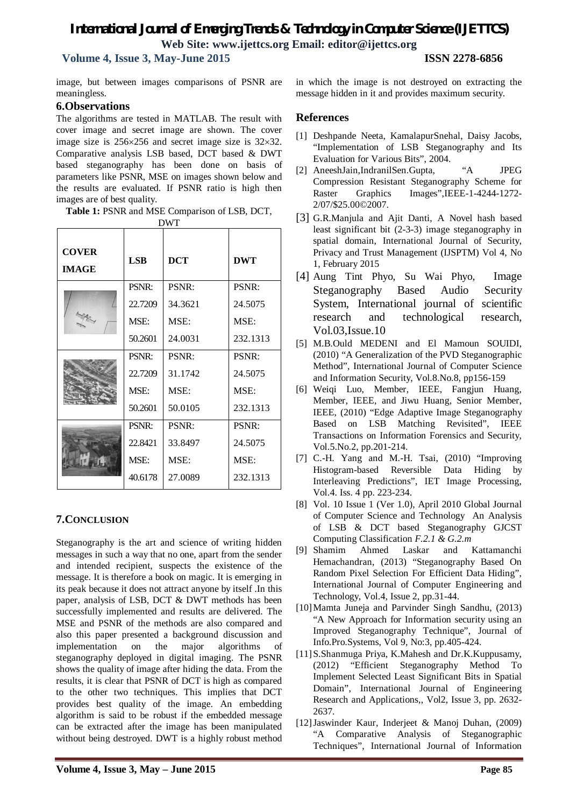**Volume 4, Issue 3, May-June 2015 ISSN 2278-6856**

image, but between images comparisons of PSNR are meaningless.

### **6.Observations**

The algorithms are tested in MATLAB. The result with cover image and secret image are shown. The cover image size is  $256 \times 256$  and secret image size is  $32 \times 32$ . Comparative analysis LSB based, DCT based & DWT based steganography has been done on basis of parameters like PSNR, MSE on images shown below and the results are evaluated. If PSNR ratio is high then images are of best quality.

|  | Table 1: PSNR and MSE Comparison of LSB, DCT, |
|--|-----------------------------------------------|
|--|-----------------------------------------------|

| <b>DWT</b>                   |            |            |            |  |  |  |  |  |
|------------------------------|------------|------------|------------|--|--|--|--|--|
| <b>COVER</b><br><b>IMAGE</b> | <b>LSB</b> | <b>DCT</b> | <b>DWT</b> |  |  |  |  |  |
|                              | PSNR:      | PSNR:      | PSNR:      |  |  |  |  |  |
|                              | 22.7209    | 34.3621    | 24.5075    |  |  |  |  |  |
|                              | MSE:       | MSE:       | MSE:       |  |  |  |  |  |
|                              | 50.2601    | 24.0031    | 232.1313   |  |  |  |  |  |
|                              | PSNR:      | PSNR:      | PSNR:      |  |  |  |  |  |
|                              | 22.7209    | 31.1742    | 24.5075    |  |  |  |  |  |
|                              | MSE:       | MSE:       | MSE:       |  |  |  |  |  |
|                              | 50.2601    | 50.0105    | 232.1313   |  |  |  |  |  |
|                              | PSNR:      | PSNR:      | PSNR:      |  |  |  |  |  |
|                              | 22.8421    | 33.8497    | 24.5075    |  |  |  |  |  |
|                              | MSE:       | MSE:       | MSE:       |  |  |  |  |  |
|                              | 40.6178    | 27.0089    | 232.1313   |  |  |  |  |  |

## **7.CONCLUSION**

Steganography is the art and science of writing hidden messages in such a way that no one, apart from the sender and intended recipient, suspects the existence of the message. It is therefore a book on magic. It is emerging in its peak because it does not attract anyone by itself .In this paper, analysis of LSB, DCT & DWT methods has been successfully implemented and results are delivered. The MSE and PSNR of the methods are also compared and also this paper presented a background discussion and implementation on the major algorithms of steganography deployed in digital imaging. The PSNR shows the quality of image after hiding the data. From the results, it is clear that PSNR of DCT is high as compared to the other two techniques. This implies that DCT provides best quality of the image. An embedding algorithm is said to be robust if the embedded message can be extracted after the image has been manipulated without being destroyed. DWT is a highly robust method in which the image is not destroyed on extracting the message hidden in it and provides maximum security.

## **References**

- [1] Deshpande Neeta, KamalapurSnehal, Daisy Jacobs, "Implementation of LSB Steganography and Its Evaluation for Various Bits", 2004.
- [2] AneeshJain,IndranilSen.Gupta, "A JPEG Compression Resistant Steganography Scheme for Raster Graphics Images",IEEE-1-4244-1272- 2/07/\$25.00©2007.
- [3] G.R.Manjula and Ajit Danti, A Novel hash based least significant bit (2-3-3) image steganography in spatial domain, International Journal of Security, Privacy and Trust Management (IJSPTM) Vol 4, No 1, February 2015
- [4] Aung Tint Phyo, Su Wai Phyo, Image Steganography Based Audio Security System, International journal of scientific research and technological research, Vol.03,Issue.10
- [5] M.B.Ould MEDENI and El Mamoun SOUIDI, (2010) "A Generalization of the PVD Steganographic Method", International Journal of Computer Science and Information Security, Vol.8.No.8, pp156-159
- [6] Weiqi Luo, Member, IEEE, Fangjun Huang, Member, IEEE, and Jiwu Huang, Senior Member, IEEE, (2010) "Edge Adaptive Image Steganography Based on LSB Matching Revisited", IEEE Transactions on Information Forensics and Security, Vol.5.No.2, pp.201-214.
- [7] C.-H. Yang and M.-H. Tsai, (2010) "Improving Histogram-based Reversible Data Hiding by Interleaving Predictions", IET Image Processing, Vol.4. Iss. 4 pp. 223-234.
- [8] Vol. 10 Issue 1 (Ver 1.0), April 2010 Global Journal of Computer Science and Technology An Analysis of LSB & DCT based Steganography GJCST Computing Classification *F.2.1 & G.2.m*
- [9] Shamim Ahmed Laskar and Kattamanchi Hemachandran, (2013) "Steganography Based On Random Pixel Selection For Efficient Data Hiding", International Journal of Computer Engineering and Technology, Vol.4, Issue 2, pp.31-44.
- [10]Mamta Juneja and Parvinder Singh Sandhu, (2013) "A New Approach for Information security using an Improved Steganography Technique", Journal of Info.Pro.Systems, Vol 9, No:3, pp.405-424.
- [11]S.Shanmuga Priya, K.Mahesh and Dr.K.Kuppusamy, (2012) "Efficient Steganography Method To Implement Selected Least Significant Bits in Spatial Domain", International Journal of Engineering Research and Applications,, Vol2, Issue 3, pp. 2632- 2637.
- [12]Jaswinder Kaur, Inderjeet & Manoj Duhan, (2009) "A Comparative Analysis of Steganographic Techniques", International Journal of Information